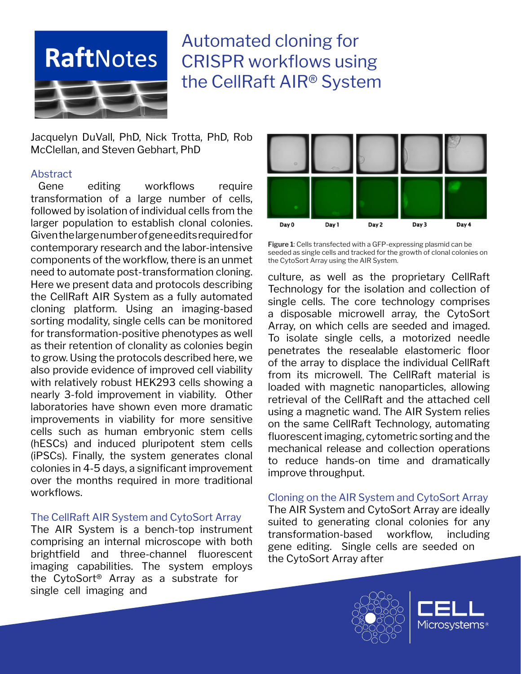

# Automated cloning for CRISPR workflows using the CellRaft AIR® System

Jacquelyn DuVall, PhD, Nick Trotta, PhD, Rob McClellan, and Steven Gebhart, PhD

## Abstract

Gene editing workflows require transformation of a large number of cells, followed by isolation of individual cells from the larger population to establish clonal colonies. Given the large number of gene edits required for contemporary research and the labor-intensive components of the workflow, there is an unmet need to automate post-transformation cloning. Here we present data and protocols describing the CellRaft AIR System as a fully automated cloning platform. Using an imaging-based sorting modality, single cells can be monitored for transformation-positive phenotypes as well as their retention of clonality as colonies begin to grow. Using the protocols described here, we also provide evidence of improved cell viability with relatively robust HEK293 cells showing a nearly 3-fold improvement in viability. Other laboratories have shown even more dramatic improvements in viability for more sensitive cells such as human embryonic stem cells (hESCs) and induced pluripotent stem cells (iPSCs). Finally, the system generates clonal colonies in 4-5 days, a significant improvement over the months required in more traditional workflows.

## The CellRaft AIR System and CytoSort Array

The AIR System is a bench-top instrument comprising an internal microscope with both brightfield and three-channel fluorescent imaging capabilities. The system employs the CytoSort® Array as a substrate for single cell imaging and



**Figure 1**: Cells transfected with a GFP-expressing plasmid can be seeded as single cells and tracked for the growth of clonal colonies on the CytoSort Array using the AIR System.

culture, as well as the proprietary CellRaft Technology for the isolation and collection of single cells. The core technology comprises a disposable microwell array, the CytoSort Array, on which cells are seeded and imaged. To isolate single cells, a motorized needle penetrates the resealable elastomeric floor of the array to displace the individual CellRaft from its microwell. The CellRaft material is loaded with magnetic nanoparticles, allowing retrieval of the CellRaft and the attached cell using a magnetic wand. The AIR System relies on the same CellRaft Technology, automating fluorescent imaging, cytometric sorting and the mechanical release and collection operations to reduce hands-on time and dramatically improve throughput.

## Cloning on the AIR System and CytoSort Array

The AIR System and CytoSort Array are ideally suited to generating clonal colonies for any transformation-based workflow, including gene editing. Single cells are seeded on the CytoSort Array after



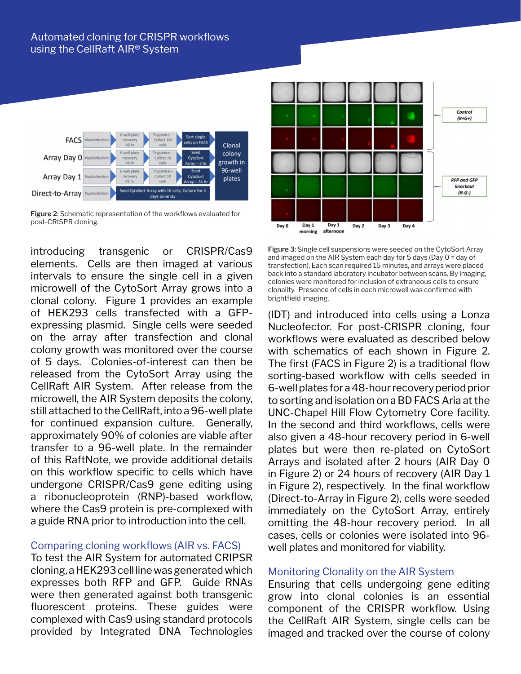

**Figure 2**: Schematic representation of the workflows evaluated for post-CRISPR cloning.

introducing transgenic or CRISPR/Cas9 elements. Cells are then imaged at various intervals to ensure the single cell in a given microwell of the CytoSort Array grows into a clonal colony. Figure 1 provides an example of HEK293 cells transfected with a GFPexpressing plasmid. Single cells were seeded on the array after transfection and clonal colony growth was monitored over the course of 5 days. Colonies-of-interest can then be released from the CytoSort Array using the CellRaft AIR System. After release from the microwell, the AIR System deposits the colony, still attached to the CellRaft, into a 96-well plate for continued expansion culture. Generally, approximately 90% of colonies are viable after transfer to a 96-well plate. In the remainder of this RaftNote, we provide additional details on this workflow specific to cells which have undergone CRISPR/Cas9 gene editing using a ribonucleoprotein (RNP)-based workflow, where the Cas9 protein is pre-complexed with a guide RNA prior to introduction into the cell.

## Comparing cloning workflows (AIR vs. FACS)

To test the AIR System for automated CRIPSR cloning, a HEK293 cell line was generated which expresses both RFP and GFP. Guide RNAs were then generated against both transgenic fluorescent proteins. These guides were complexed with Cas9 using standard protocols provided by Integrated DNA Technologies



**Figure 3**: Single cell suspensions were seeded on the CytoSort Array and imaged on the AIR System each day for 5 days (Day 0 = day of transfection). Each scan required 15 minutes, and arrays were placed back into a standard laboratory incubator between scans. By imaging, colonies were monitored for inclusion of extraneous cells to ensure clonality. Presence of cells in each microwell was confirmed with brightfield imaging.

(IDT) and introduced into cells using a Lonza Nucleofector. For post-CRISPR cloning, four workflows were evaluated as described below with schematics of each shown in Figure 2. The first (FACS in Figure 2) is a traditional flow sorting-based workflow with cells seeded in 6-well plates for a 48-hour recovery period prior to sorting and isolation on a BD FACS Aria at the UNC-Chapel Hill Flow Cytometry Core facility. In the second and third workflows, cells were also given a 48-hour recovery period in 6-well plates but were then re-plated on CytoSort Arrays and isolated after 2 hours (AIR Day 0 in Figure 2) or 24 hours of recovery (AIR Day 1 in Figure 2), respectively. In the final workflow (Direct-to-Array in Figure 2), cells were seeded immediately on the CytoSort Array, entirely omitting the 48-hour recovery period. In all cases, cells or colonies were isolated into 96 well plates and monitored for viability.

### Monitoring Clonality on the AIR System

Ensuring that cells undergoing gene editing grow into clonal colonies is an essential component of the CRISPR workflow. Using the CellRaft AIR System, single cells can be imaged and tracked over the course of colony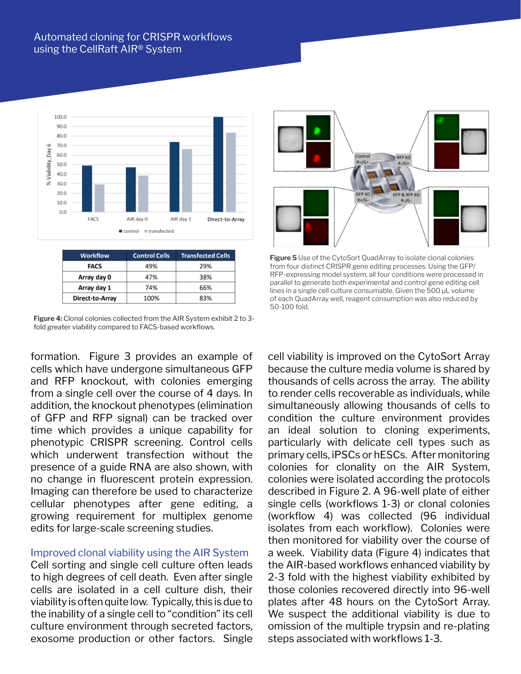# Automated cloning for CRISPR workflows using the CellRaft AIR® System



| <b>Workflow</b> | <b>Control Cells</b> | <b>Transfected Cells</b> |
|-----------------|----------------------|--------------------------|
| <b>FACS</b>     | 49%                  | 29%                      |
| Array day 0     | 47%                  | 38%                      |
| Array day 1     | 74%                  | 66%                      |
| Direct-to-Array | 100%                 | 83%                      |

**Figure 4:** Clonal colonies collected from the AIR System exhibit 2 to 3 fold greater viability compared to FACS-based workflows.

formation. Figure 3 provides an example of cells which have undergone simultaneous GFP and RFP knockout, with colonies emerging from a single cell over the course of 4 days. In addition, the knockout phenotypes (elimination of GFP and RFP signal) can be tracked over time which provides a unique capability for phenotypic CRISPR screening. Control cells which underwent transfection without the presence of a guide RNA are also shown, with no change in fluorescent protein expression. Imaging can therefore be used to characterize cellular phenotypes after gene editing, a growing requirement for multiplex genome edits for large-scale screening studies.

#### Improved clonal viability using the AIR System

Cell sorting and single cell culture often leads to high degrees of cell death. Even after single cells are isolated in a cell culture dish, their viability is often quite low. Typically, this is due to the inability of a single cell to "condition" its cell culture environment through secreted factors, exosome production or other factors. Single



**Figure 5** Use of the CytoSort QuadArray to isolate clonal colonies from four distinct CRISPR gene editing processes. Using the GFP/ RFP-expressing model system, all four conditions were processed in parallel to generate both experimental and control gene editing cell lines in a single cell culture consumable. Given the 500 µL volume of each QuadArray well, reagent consumption was also reduced by 50-100 fold.

cell viability is improved on the CytoSort Array because the culture media volume is shared by thousands of cells across the array. The ability to render cells recoverable as individuals, while simultaneously allowing thousands of cells to condition the culture environment provides an ideal solution to cloning experiments, particularly with delicate cell types such as primary cells, iPSCs or hESCs. After monitoring colonies for clonality on the AIR System, colonies were isolated according the protocols described in Figure 2. A 96-well plate of either single cells (workflows 1-3) or clonal colonies (workflow 4) was collected (96 individual isolates from each workflow). Colonies were then monitored for viability over the course of a week. Viability data (Figure 4) indicates that the AIR-based workflows enhanced viability by 2-3 fold with the highest viability exhibited by those colonies recovered directly into 96-well plates after 48 hours on the CytoSort Array. We suspect the additional viability is due to omission of the multiple trypsin and re-plating steps associated with workflows 1-3.